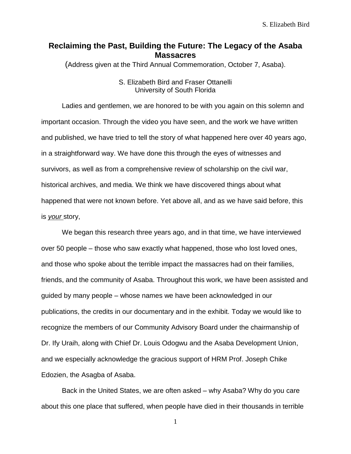## **Reclaiming the Past, Building the Future: The Legacy of the Asaba Massacres**

(Address given at the Third Annual Commemoration, October 7, Asaba).

## S. Elizabeth Bird and Fraser Ottanelli University of South Florida

Ladies and gentlemen, we are honored to be with you again on this solemn and important occasion. Through the video you have seen, and the work we have written and published, we have tried to tell the story of what happened here over 40 years ago, in a straightforward way. We have done this through the eyes of witnesses and survivors, as well as from a comprehensive review of scholarship on the civil war, historical archives, and media. We think we have discovered things about what happened that were not known before. Yet above all, and as we have said before, this is *your* story,

We began this research three years ago, and in that time, we have interviewed over 50 people – those who saw exactly what happened, those who lost loved ones, and those who spoke about the terrible impact the massacres had on their families, friends, and the community of Asaba. Throughout this work, we have been assisted and guided by many people – whose names we have been acknowledged in our publications, the credits in our documentary and in the exhibit. Today we would like to recognize the members of our Community Advisory Board under the chairmanship of Dr. Ify Uraih, along with Chief Dr. Louis Odogwu and the Asaba Development Union, and we especially acknowledge the gracious support of HRM Prof. Joseph Chike Edozien, the Asagba of Asaba.

Back in the United States, we are often asked – why Asaba? Why do you care about this one place that suffered, when people have died in their thousands in terrible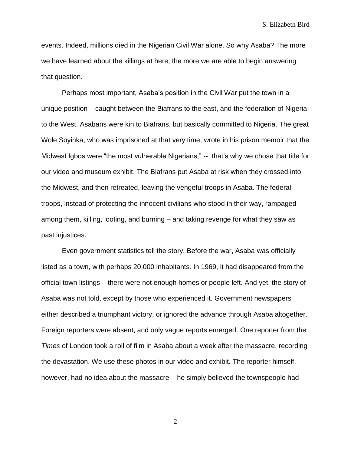events. Indeed, millions died in the Nigerian Civil War alone. So why Asaba? The more we have learned about the killings at here, the more we are able to begin answering that question.

Perhaps most important, Asaba's position in the Civil War put the town in a unique position – caught between the Biafrans to the east, and the federation of Nigeria to the West. Asabans were kin to Biafrans, but basically committed to Nigeria. The great Wole Soyinka, who was imprisoned at that very time, wrote in his prison memoir that the Midwest Igbos were "the most vulnerable Nigerians," -- that's why we chose that title for our video and museum exhibit. The Biafrans put Asaba at risk when they crossed into the Midwest, and then retreated, leaving the vengeful troops in Asaba. The federal troops, instead of protecting the innocent civilians who stood in their way, rampaged among them, killing, looting, and burning – and taking revenge for what they saw as past injustices.

Even government statistics tell the story. Before the war, Asaba was officially listed as a town, with perhaps 20,000 inhabitants. In 1969, it had disappeared from the official town listings – there were not enough homes or people left. And yet, the story of Asaba was not told, except by those who experienced it. Government newspapers either described a triumphant victory, or ignored the advance through Asaba altogether. Foreign reporters were absent, and only vague reports emerged. One reporter from the *Times* of London took a roll of film in Asaba about a week after the massacre, recording the devastation. We use these photos in our video and exhibit. The reporter himself, however, had no idea about the massacre – he simply believed the townspeople had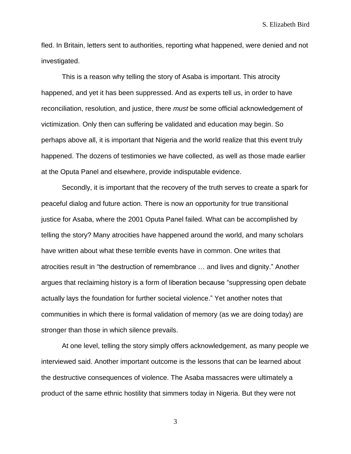fled. In Britain, letters sent to authorities, reporting what happened, were denied and not investigated.

This is a reason why telling the story of Asaba is important. This atrocity happened, and yet it has been suppressed. And as experts tell us, in order to have reconciliation, resolution, and justice, there *must* be some official acknowledgement of victimization. Only then can suffering be validated and education may begin. So perhaps above all, it is important that Nigeria and the world realize that this event truly happened. The dozens of testimonies we have collected, as well as those made earlier at the Oputa Panel and elsewhere, provide indisputable evidence.

Secondly, it is important that the recovery of the truth serves to create a spark for peaceful dialog and future action. There is now an opportunity for true transitional justice for Asaba, where the 2001 Oputa Panel failed. What can be accomplished by telling the story? Many atrocities have happened around the world, and many scholars have written about what these terrible events have in common. One writes that atrocities result in "the destruction of remembrance … and lives and dignity." Another argues that reclaiming history is a form of liberation because "suppressing open debate actually lays the foundation for further societal violence." Yet another notes that communities in which there is formal validation of memory (as we are doing today) are stronger than those in which silence prevails.

At one level, telling the story simply offers acknowledgement, as many people we interviewed said. Another important outcome is the lessons that can be learned about the destructive consequences of violence. The Asaba massacres were ultimately a product of the same ethnic hostility that simmers today in Nigeria. But they were not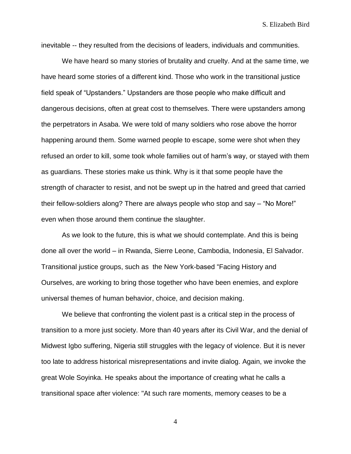S. Elizabeth Bird

inevitable -- they resulted from the decisions of leaders, individuals and communities.

We have heard so many stories of brutality and cruelty. And at the same time, we have heard some stories of a different kind. Those who work in the transitional justice field speak of "Upstanders." Upstanders are those people who make difficult and dangerous decisions, often at great cost to themselves. There were upstanders among the perpetrators in Asaba. We were told of many soldiers who rose above the horror happening around them. Some warned people to escape, some were shot when they refused an order to kill, some took whole families out of harm's way, or stayed with them as guardians. These stories make us think. Why is it that some people have the strength of character to resist, and not be swept up in the hatred and greed that carried their fellow-soldiers along? There are always people who stop and say – "No More!" even when those around them continue the slaughter.

As we look to the future, this is what we should contemplate. And this is being done all over the world – in Rwanda, Sierre Leone, Cambodia, Indonesia, El Salvador. Transitional justice groups, such as the New York-based "Facing History and Ourselves, are working to bring those together who have been enemies, and explore universal themes of human behavior, choice, and decision making.

We believe that confronting the violent past is a critical step in the process of transition to a more just society. More than 40 years after its Civil War, and the denial of Midwest Igbo suffering, Nigeria still struggles with the legacy of violence. But it is never too late to address historical misrepresentations and invite dialog. Again, we invoke the great Wole Soyinka. He speaks about the importance of creating what he calls a transitional space after violence: "At such rare moments, memory ceases to be a